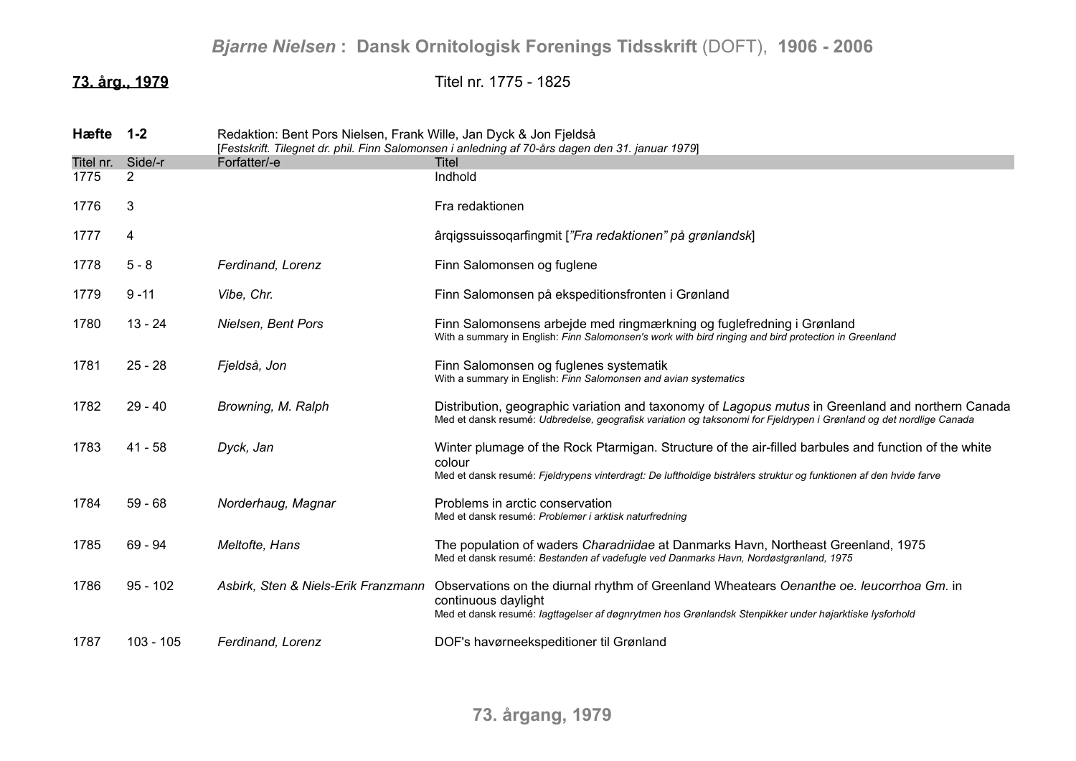**73. årg., 1979** Titel nr. 1775 - 1825

| <b>H</b> æfte | $1 - 2$     | Redaktion: Bent Pors Nielsen, Frank Wille, Jan Dyck & Jon Fjeldså<br>[Festskrift. Tilegnet dr. phil. Finn Salomonsen i anledning af 70-års dagen den 31. januar 1979] |                                                                                                                                                                                                                                     |
|---------------|-------------|-----------------------------------------------------------------------------------------------------------------------------------------------------------------------|-------------------------------------------------------------------------------------------------------------------------------------------------------------------------------------------------------------------------------------|
| Titel nr.     | Side/-r     | Forfatter/-e                                                                                                                                                          | Titel                                                                                                                                                                                                                               |
| 1775          | 2           |                                                                                                                                                                       | Indhold                                                                                                                                                                                                                             |
| 1776          | 3           |                                                                                                                                                                       | Fra redaktionen                                                                                                                                                                                                                     |
| 1777          | 4           |                                                                                                                                                                       | ârgigssuissogarfingmit ["Fra redaktionen" på grønlandsk]                                                                                                                                                                            |
| 1778          | $5 - 8$     | Ferdinand, Lorenz                                                                                                                                                     | Finn Salomonsen og fuglene                                                                                                                                                                                                          |
| 1779          | $9 - 11$    | Vibe, Chr.                                                                                                                                                            | Finn Salomonsen på ekspeditionsfronten i Grønland                                                                                                                                                                                   |
| 1780          | $13 - 24$   | Nielsen, Bent Pors                                                                                                                                                    | Finn Salomonsens arbejde med ringmærkning og fuglefredning i Grønland<br>With a summary in English: Finn Salomonsen's work with bird ringing and bird protection in Greenland                                                       |
| 1781          | $25 - 28$   | Fjeldså, Jon                                                                                                                                                          | Finn Salomonsen og fuglenes systematik<br>With a summary in English: Finn Salomonsen and avian systematics                                                                                                                          |
| 1782          | $29 - 40$   | Browning, M. Ralph                                                                                                                                                    | Distribution, geographic variation and taxonomy of Lagopus mutus in Greenland and northern Canada<br>Med et dansk resumé: Udbredelse, geografisk variation og taksonomi for Fjeldrypen i Grønland og det nordlige Canada            |
| 1783          | 41 - 58     | Dyck, Jan                                                                                                                                                             | Winter plumage of the Rock Ptarmigan. Structure of the air-filled barbules and function of the white<br>colour<br>Med et dansk resumé: Fjeldrypens vinterdragt: De luftholdige bistrålers struktur og funktionen af den hvide farve |
| 1784          | $59 - 68$   | Norderhaug, Magnar                                                                                                                                                    | Problems in arctic conservation<br>Med et dansk resumé: Problemer i arktisk naturfredning                                                                                                                                           |
| 1785          | $69 - 94$   | Meltofte, Hans                                                                                                                                                        | The population of waders Charadriidae at Danmarks Havn, Northeast Greenland, 1975<br>Med et dansk resumé: Bestanden af vadefugle ved Danmarks Havn, Nordøstgrønland, 1975                                                           |
| 1786          | $95 - 102$  | Asbirk, Sten & Niels-Erik Franzmann                                                                                                                                   | Observations on the diurnal rhythm of Greenland Wheatears Oenanthe oe. leucorrhoa Gm. in<br>continuous daylight<br>Med et dansk resumé: lagttagelser af døgnrytmen hos Grønlandsk Stenpikker under højarktiske lysforhold           |
| 1787          | $103 - 105$ | Ferdinand, Lorenz                                                                                                                                                     | DOF's havørneekspeditioner til Grønland                                                                                                                                                                                             |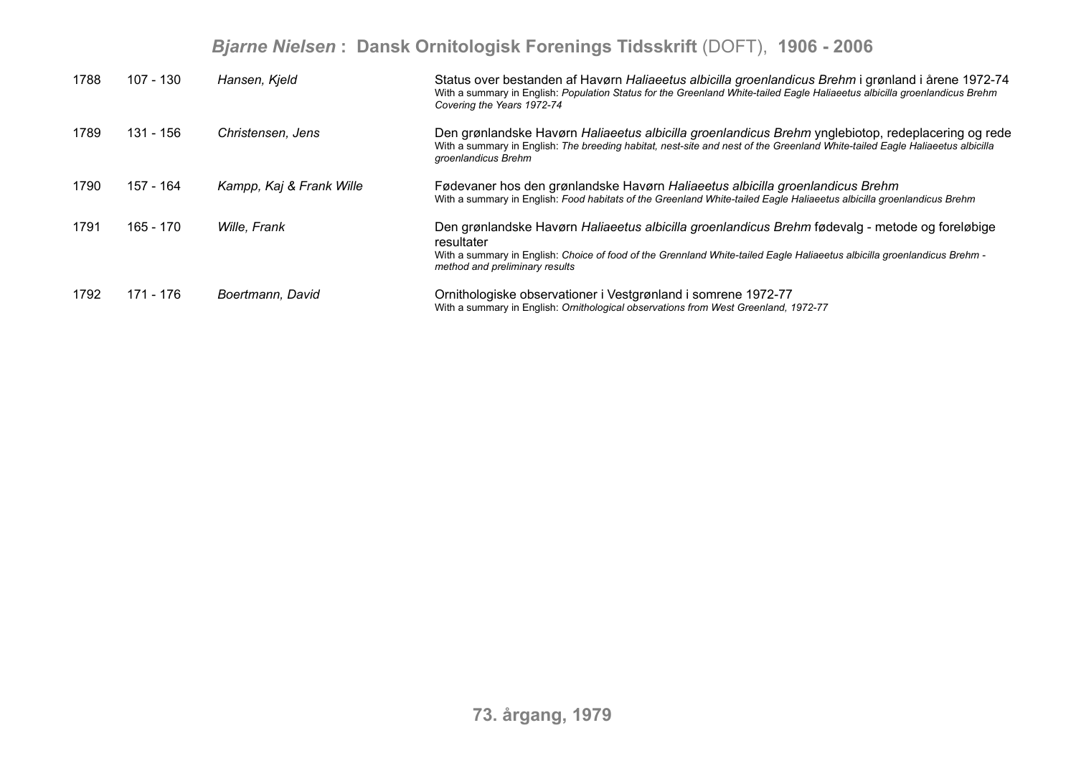| 1788 | 107 - 130 | Hansen, Kjeld            | Status over bestanden af Havørn Haliaeetus albicilla groenlandicus Brehm i grønland i årene 1972-74<br>With a summary in English: Population Status for the Greenland White-tailed Eagle Haliaeetus albicilla groenlandicus Brehm<br>Covering the Years 1972-74             |
|------|-----------|--------------------------|-----------------------------------------------------------------------------------------------------------------------------------------------------------------------------------------------------------------------------------------------------------------------------|
| 1789 | 131 - 156 | Christensen, Jens        | Den grønlandske Havørn Haliaeetus albicilla groenlandicus Brehm ynglebiotop, redeplacering og rede<br>With a summary in English: The breeding habitat, nest-site and nest of the Greenland White-tailed Eagle Haliaeetus albicilla<br>groenlandicus Brehm                   |
| 1790 | 157 - 164 | Kampp, Kaj & Frank Wille | Fødevaner hos den grønlandske Havørn Haliaeetus albicilla groenlandicus Brehm<br>With a summary in English: Food habitats of the Greenland White-tailed Eagle Haliaeetus albicilla groenlandicus Brehm                                                                      |
| 1791 | 165 - 170 | Wille, Frank             | Den grønlandske Havørn Haliaeetus albicilla groenlandicus Brehm fødevalg - metode og foreløbige<br>resultater<br>With a summary in English: Choice of food of the Grennland White-tailed Eagle Haliaeetus albicilla groenlandicus Brehm -<br>method and preliminary results |
| 1792 | 171 - 176 | Boertmann, David         | Ornithologiske observationer i Vestgrønland i somrene 1972-77<br>With a summary in English: Ornithological observations from West Greenland, 1972-77                                                                                                                        |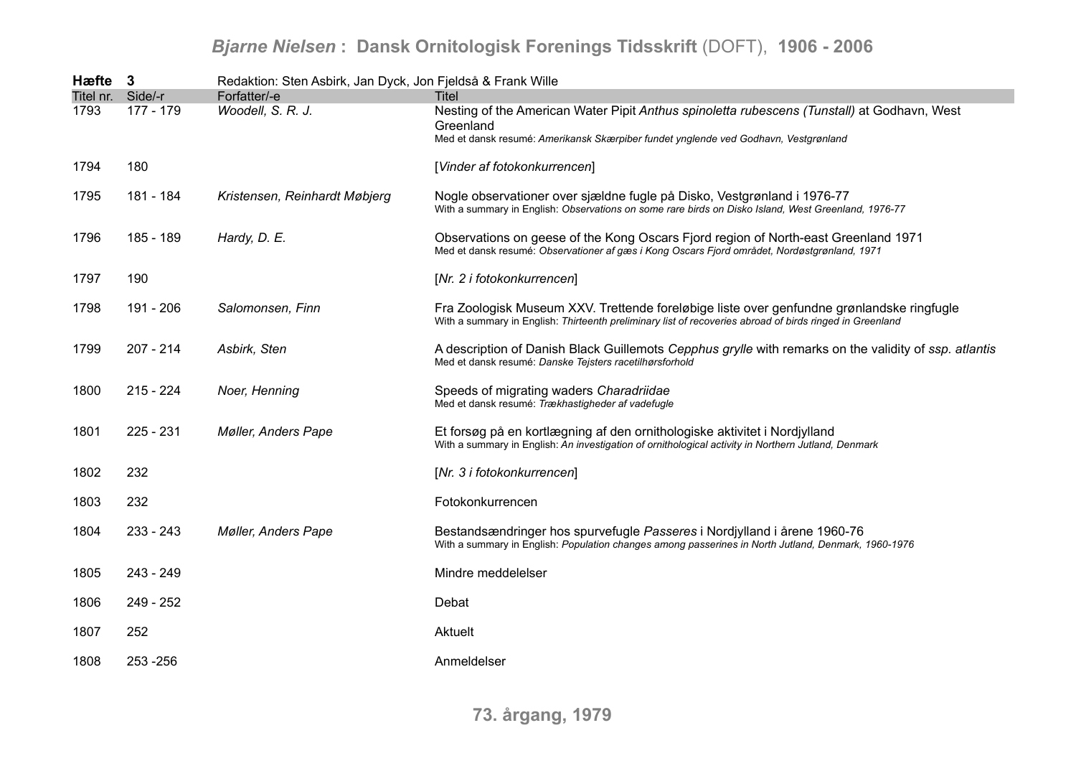| Hæfte 3           |             | Redaktion: Sten Asbirk, Jan Dyck, Jon Fjeldså & Frank Wille |                                                                                                                                                                                                       |
|-------------------|-------------|-------------------------------------------------------------|-------------------------------------------------------------------------------------------------------------------------------------------------------------------------------------------------------|
| Titel nr. Side/-r |             | Forfatter/-e                                                | Titel                                                                                                                                                                                                 |
| 1793              | 177 - 179   | Woodell, S. R. J.                                           | Nesting of the American Water Pipit Anthus spinoletta rubescens (Tunstall) at Godhavn, West<br>Greenland                                                                                              |
|                   |             |                                                             | Med et dansk resumé: Amerikansk Skærpiber fundet ynglende ved Godhavn, Vestgrønland                                                                                                                   |
| 1794              | 180         |                                                             | [Vinder af fotokonkurrencen]                                                                                                                                                                          |
| 1795              | 181 - 184   | Kristensen, Reinhardt Møbjerg                               | Nogle observationer over sjældne fugle på Disko, Vestgrønland i 1976-77<br>With a summary in English: Observations on some rare birds on Disko Island, West Greenland, 1976-77                        |
| 1796              | 185 - 189   | Hardy, D. E.                                                | Observations on geese of the Kong Oscars Fjord region of North-east Greenland 1971<br>Med et dansk resumé: Observationer af gæs i Kong Oscars Fjord området, Nordøstgrønland, 1971                    |
| 1797              | 190         |                                                             | [Nr. 2 i fotokonkurrencen]                                                                                                                                                                            |
| 1798              | 191 - 206   | Salomonsen, Finn                                            | Fra Zoologisk Museum XXV. Trettende foreløbige liste over genfundne grønlandske ringfugle<br>With a summary in English: Thirteenth preliminary list of recoveries abroad of birds ringed in Greenland |
| 1799              | $207 - 214$ | Asbirk, Sten                                                | A description of Danish Black Guillemots Cepphus grylle with remarks on the validity of ssp. atlantis<br>Med et dansk resumé: Danske Tejsters racetilhørsforhold                                      |
| 1800              | $215 - 224$ | Noer, Henning                                               | Speeds of migrating waders Charadriidae<br>Med et dansk resumé: Trækhastigheder af vadefugle                                                                                                          |
| 1801              | $225 - 231$ | <b>Møller, Anders Pape</b>                                  | Et forsøg på en kortlægning af den ornithologiske aktivitet i Nordjylland<br>With a summary in English: An investigation of ornithological activity in Northern Jutland, Denmark                      |
| 1802              | 232         |                                                             | [Nr. 3 i fotokonkurrencen]                                                                                                                                                                            |
| 1803              | 232         |                                                             | Fotokonkurrencen                                                                                                                                                                                      |
| 1804              | $233 - 243$ | Møller, Anders Pape                                         | Bestandsændringer hos spurvefugle Passeres i Nordjylland i årene 1960-76<br>With a summary in English: Population changes among passerines in North Jutland, Denmark, 1960-1976                       |
| 1805              | 243 - 249   |                                                             | Mindre meddelelser                                                                                                                                                                                    |
| 1806              | 249 - 252   |                                                             | Debat                                                                                                                                                                                                 |
| 1807              | 252         |                                                             | Aktuelt                                                                                                                                                                                               |
| 1808              | 253 - 256   |                                                             | Anmeldelser                                                                                                                                                                                           |
|                   |             |                                                             |                                                                                                                                                                                                       |